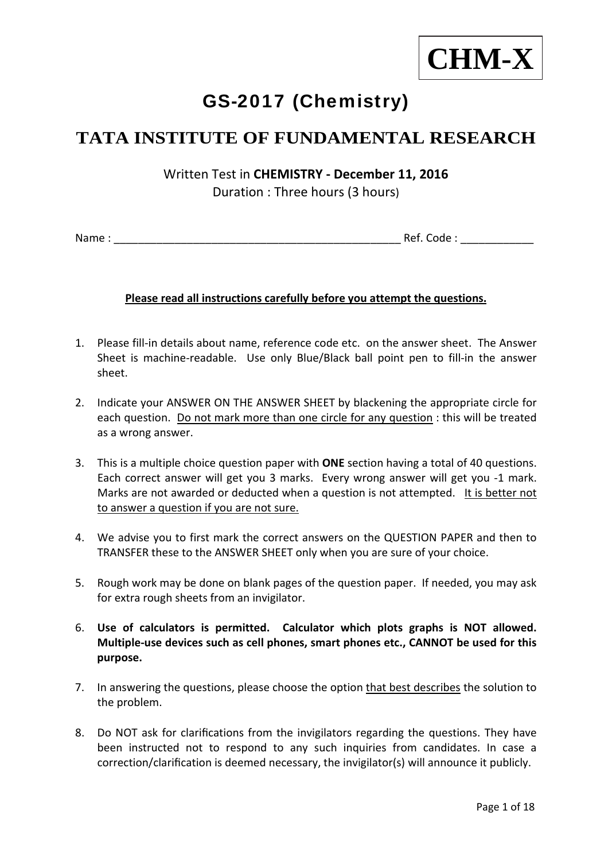

# GS-2017 (Chemistry)

# **TATA INSTITUTE OF FUNDAMENTAL RESEARCH**

Written Test in **CHEMISTRY ‐ December 11, 2016** Duration : Three hours (3 hours)

Name : \_\_\_\_\_\_\_\_\_\_\_\_\_\_\_\_\_\_\_\_\_\_\_\_\_\_\_\_\_\_\_\_\_\_\_\_\_\_\_\_\_\_\_\_\_\_\_ Ref. Code : \_\_\_\_\_\_\_\_\_\_\_\_

# **Please read all instructions carefully before you attempt the questions.**

- 1. Please fill‐in details about name, reference code etc. on the answer sheet. The Answer Sheet is machine-readable. Use only Blue/Black ball point pen to fill-in the answer sheet.
- 2. Indicate your ANSWER ON THE ANSWER SHEET by blackening the appropriate circle for each question. Do not mark more than one circle for any question : this will be treated as a wrong answer.
- 3. This is a multiple choice question paper with **ONE** section having a total of 40 questions. Each correct answer will get you 3 marks. Every wrong answer will get you ‐1 mark. Marks are not awarded or deducted when a question is not attempted. It is better not to answer a question if you are not sure.
- 4. We advise you to first mark the correct answers on the QUESTION PAPER and then to TRANSFER these to the ANSWER SHEET only when you are sure of your choice.
- 5. Rough work may be done on blank pages of the question paper. If needed, you may ask for extra rough sheets from an invigilator.
- 6. **Use of calculators is permitted. Calculator which plots graphs is NOT allowed. Multiple‐use devices such as cell phones, smart phones etc., CANNOT be used for this purpose.**
- 7. In answering the questions, please choose the option that best describes the solution to the problem.
- 8. Do NOT ask for clarifications from the invigilators regarding the questions. They have been instructed not to respond to any such inquiries from candidates. In case a correction/clarification is deemed necessary, the invigilator(s) will announce it publicly.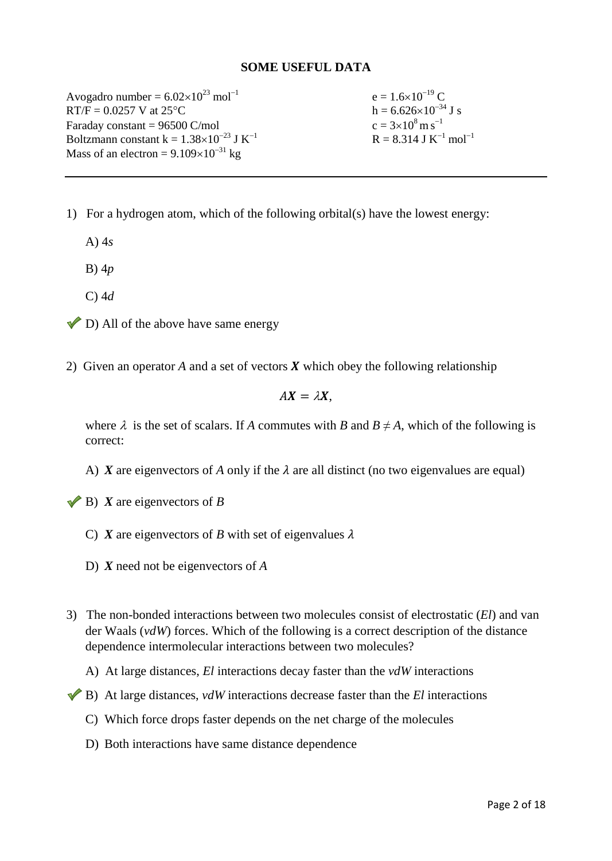#### **SOME USEFUL DATA**

Avogadro number =  $6.02 \times 10^{23}$  mol<sup>-1</sup> e =  $1.6 \times 10^{-19}$  C  $RT/F = 0.0257 \text{ V}$  at  $25^{\circ}\text{C}$  h = 6.626×10<sup>-34</sup> J s Faraday constant  $= 96500$  C/mol Boltzmann constant  $k = 1.38 \times 10^{-23}$  J K<sup>-1</sup> Mass of an electron =  $9.109 \times 10^{-31}$  kg

 $c = 3 \times 10^8 \,\mathrm{m\,s}^{-1}$  $R = 8.314$  J K<sup>-1</sup> mol<sup>-1</sup>

1) For a hydrogen atom, which of the following orbital(s) have the lowest energy:

A) 4*s*

B) 4*p*

- C) 4*d*
- $\triangledown$  D) All of the above have same energy
- 2) Given an operator  $A$  and a set of vectors  $\boldsymbol{X}$  which obey the following relationship

$$
AX=\lambda X,
$$

where  $\lambda$  is the set of scalars. If *A* commutes with *B* and  $B \neq A$ , which of the following is correct:

A) X are eigenvectors of A only if the  $\lambda$  are all distinct (no two eigenvalues are equal)

 $\blacktriangleright$  **B**) *X* are eigenvectors of *B* 

- C) *X* are eigenvectors of *B* with set of eigenvalues  $\lambda$
- D) *X* need not be eigenvectors of *A*
- 3) The non-bonded interactions between two molecules consist of electrostatic (*El*) and van der Waals (*vdW*) forces. Which of the following is a correct description of the distance dependence intermolecular interactions between two molecules?
	- A) At large distances, *El* interactions decay faster than the *vdW* interactions
- B) At large distances, *vdW* interactions decrease faster than the *El* interactions
	- C) Which force drops faster depends on the net charge of the molecules
	- D) Both interactions have same distance dependence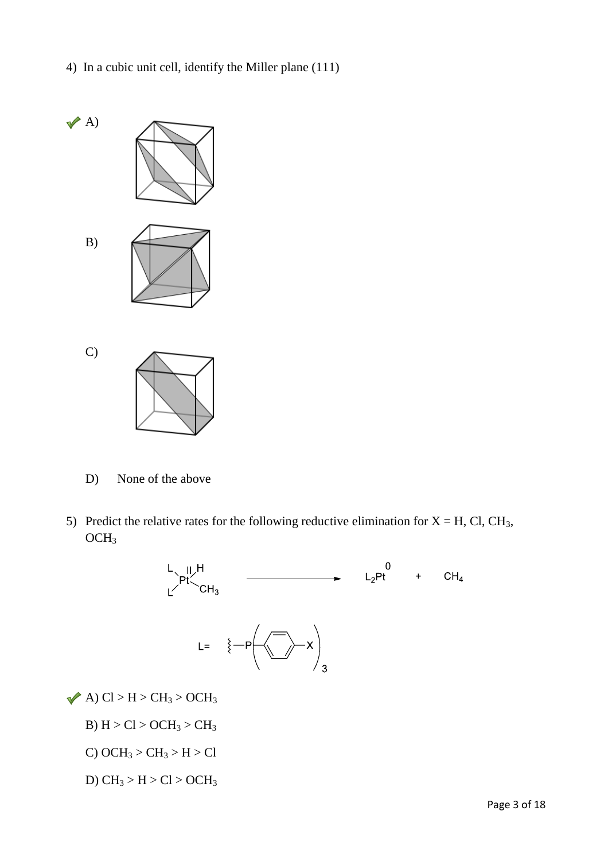4) In a cubic unit cell, identify the Miller plane (111)



D) None of the above

5) Predict the relative rates for the following reductive elimination for  $X = H$ , Cl, CH<sub>3</sub>, OCH3



 $\blacktriangleright$  A) Cl > H > CH<sub>3</sub> > OCH<sub>3</sub>

B)  $H > Cl > OCH_3 > CH_3$ 

C) OCH<sub>3</sub> > CH<sub>3</sub> > H > Cl

D)  $CH_3 > H > Cl > OCH_3$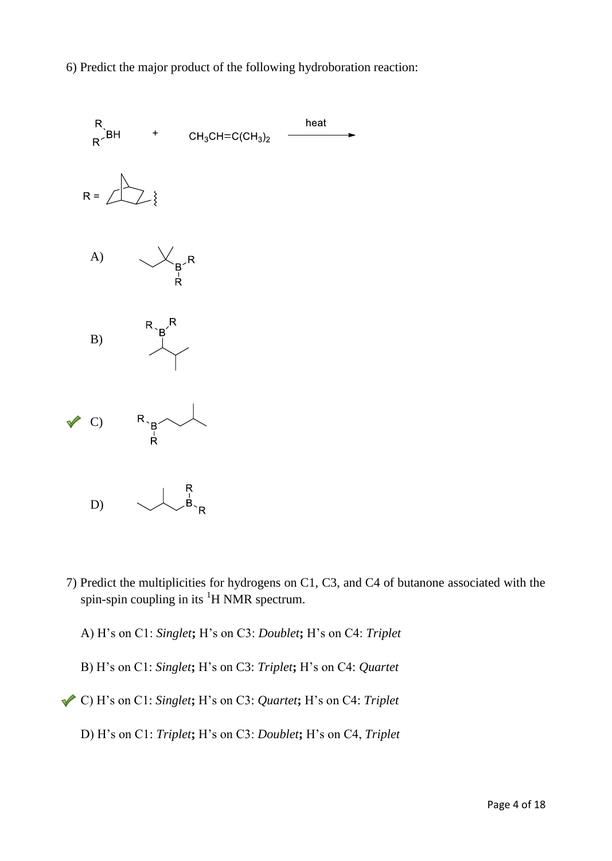6) Predict the major product of the following hydroboration reaction:



- 7) Predict the multiplicities for hydrogens on C1, C3, and C4 of butanone associated with the spin-spin coupling in its  ${}^{1}H$  NMR spectrum.
	- A) H's on C1: *Singlet***;** H's on C3: *Doublet***;** H's on C4: *Triplet*
	- B) H's on C1: *Singlet***;** H's on C3: *Triplet***;** H's on C4: *Quartet*
- C) H's on C1: *Singlet***;** H's on C3: *Quartet***;** H's on C4: *Triplet* 
	- D) H's on C1: *Triplet***;** H's on C3: *Doublet***;** H's on C4, *Triplet*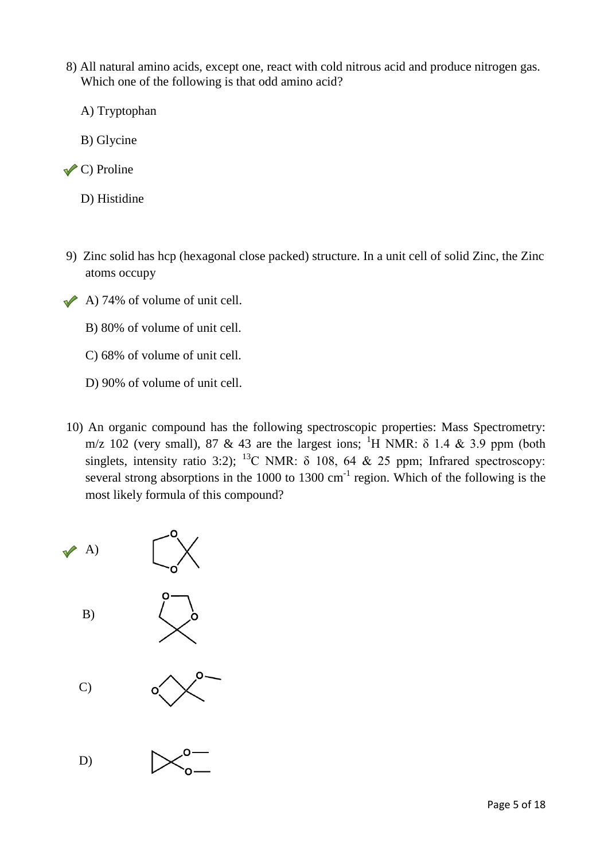- 8) All natural amino acids, except one, react with cold nitrous acid and produce nitrogen gas. Which one of the following is that odd amino acid?
	- A) Tryptophan
	- B) Glycine
- $\checkmark$  C) Proline
	- D) Histidine
- 9) Zinc solid has hcp (hexagonal close packed) structure. In a unit cell of solid Zinc, the Zinc atoms occupy
- $\triangle$  A) 74% of volume of unit cell.
	- B) 80% of volume of unit cell.
	- C) 68% of volume of unit cell.
	- D) 90% of volume of unit cell.
- 10) An organic compound has the following spectroscopic properties: Mass Spectrometry: m/z 102 (very small), 87 & 43 are the largest ions; <sup>1</sup>H NMR:  $\delta$  1.4 & 3.9 ppm (both singlets, intensity ratio 3:2); <sup>13</sup>C NMR:  $\delta$  108, 64 & 25 ppm; Infrared spectroscopy: several strong absorptions in the 1000 to 1300 cm<sup>-1</sup> region. Which of the following is the most likely formula of this compound?

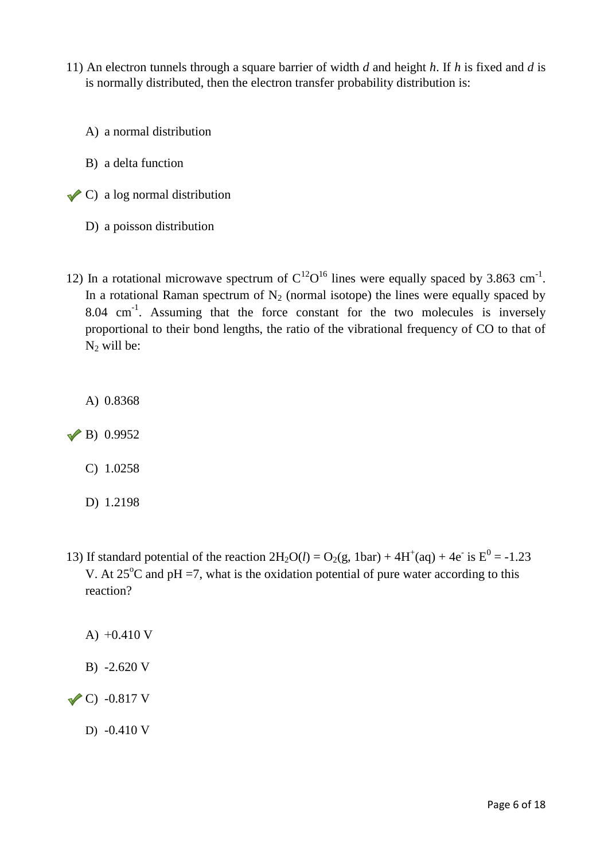- 11) An electron tunnels through a square barrier of width *d* and height *h*. If *h* is fixed and *d* is is normally distributed, then the electron transfer probability distribution is:
	- A) a normal distribution
	- B) a delta function
- $\triangle$  C) a log normal distribution
	- D) a poisson distribution
- 12) In a rotational microwave spectrum of  $C^{12}O^{16}$  lines were equally spaced by 3.863 cm<sup>-1</sup>. In a rotational Raman spectrum of  $N_2$  (normal isotope) the lines were equally spaced by  $8.04 \text{ cm}^{-1}$ . Assuming that the force constant for the two molecules is inversely proportional to their bond lengths, the ratio of the vibrational frequency of CO to that of  $N_2$  will be:

A) 0.8368

 $\vee$  B) 0.9952

- C) 1.0258
- D) 1.2198
- 13) If standard potential of the reaction  $2H_2O(l) = O_2(g, 1bar) + 4H^+(aq) + 4e^-$  is  $E^0 = -1.23$ V. At  $25^{\circ}$ C and pH =7, what is the oxidation potential of pure water according to this reaction?
	- A) +0.410 V
	- B) -2.620 V

 $\sqrt{C}$ ) -0.817 V

D) -0.410 V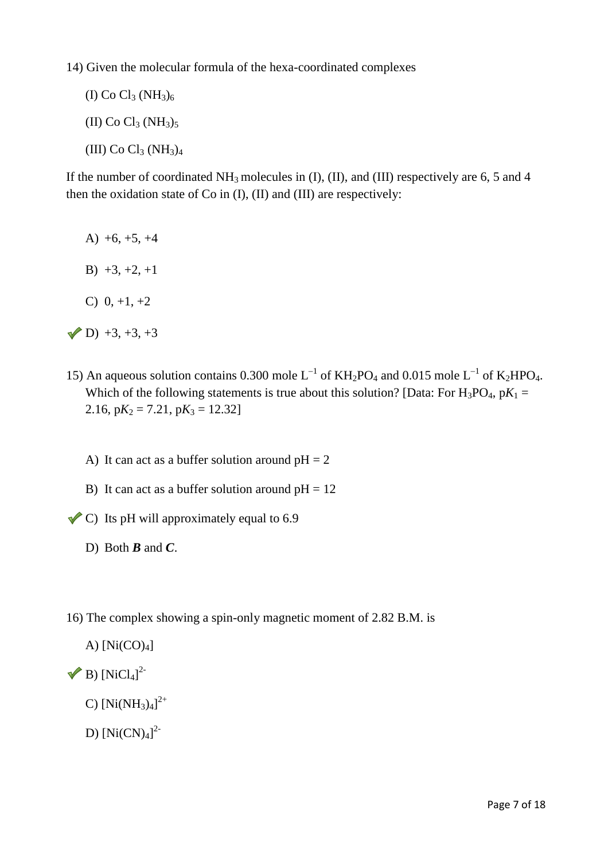14) Given the molecular formula of the hexa-coordinated complexes

(I) Co  $Cl_3 (NH_3)_6$ (II) Co  $Cl_3 (NH_3)_5$ (III) Co  $Cl_3 (NH_3)_4$ 

If the number of coordinated  $NH_3$  molecules in (I), (II), and (III) respectively are 6, 5 and 4 then the oxidation state of Co in (I), (II) and (III) are respectively:

- A)  $+6, +5, +4$
- B)  $+3, +2, +1$
- C)  $0, +1, +2$
- $(D) +3, +3, +3$
- 15) An aqueous solution contains 0.300 mole  $L^{-1}$  of KH<sub>2</sub>PO<sub>4</sub> and 0.015 mole  $L^{-1}$  of K<sub>2</sub>HPO<sub>4</sub>. Which of the following statements is true about this solution? [Data: For  $H_3PO_4$ ,  $pK_1 =$ 2.16,  $pK_2 = 7.21$ ,  $pK_3 = 12.32$ 
	- A) It can act as a buffer solution around  $pH = 2$
	- B) It can act as a buffer solution around  $pH = 12$
- $\triangle$  C) Its pH will approximately equal to 6.9
	- D) Both *B* and *C*.
- 16) The complex showing a spin-only magnetic moment of 2.82 B.M. is
	- A)  $[Ni(CO)_4]$
- B)  $[NiCl_4]^{2-}$ 
	- C)  $[Ni(NH_3)_4]^{2+}$
	- D)  $[Ni(CN)<sub>4</sub>]<sup>2</sup>$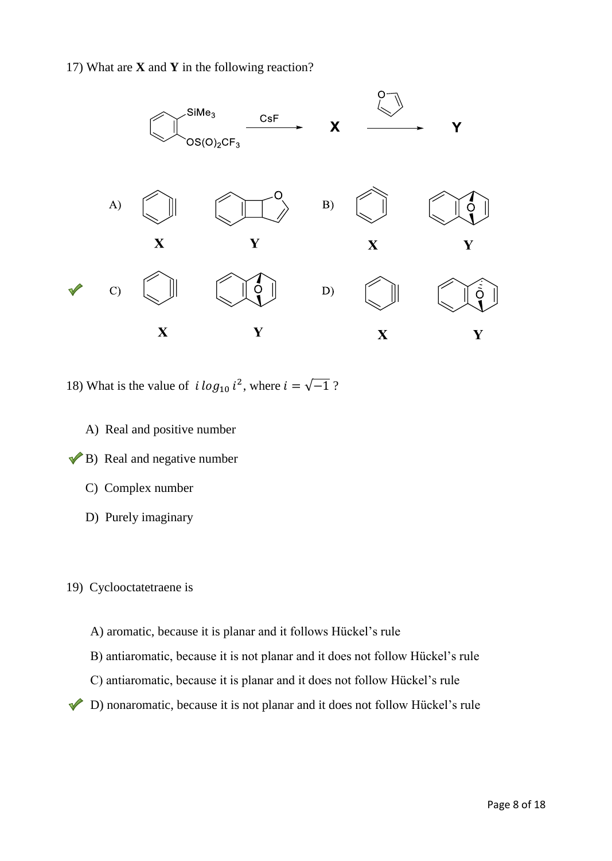# 17) What are **X** and **Y** in the following reaction?



18) What is the value of  $i \log_{10} i^2$ , where  $i = \sqrt{-1}$ ?

- A) Real and positive number
- $\blacktriangleright$  B) Real and negative number
	- C) Complex number
	- D) Purely imaginary

#### 19) Cyclooctatetraene is

- A) aromatic, because it is planar and it follows Hückel's rule
- B) antiaromatic, because it is not planar and it does not follow Hückel's rule
- C) antiaromatic, because it is planar and it does not follow Hückel's rule
- D) nonaromatic, because it is not planar and it does not follow Hückel's rule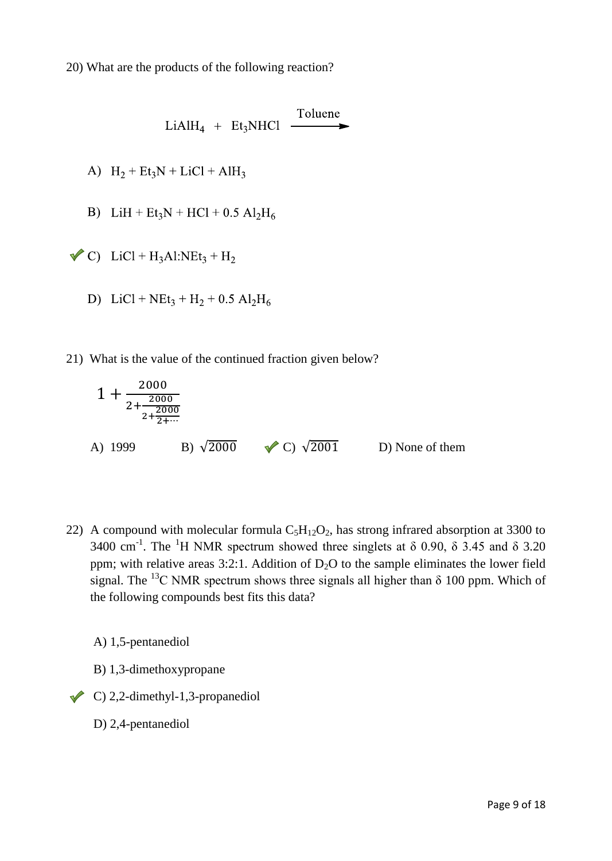\n
$$
\begin{array}{r}\n \text{LiAlH}_4 + \text{Et}_3\text{NHCl} \quad \xrightarrow{\text{Toluene}} \\
\text{A)} \quad H_2 + \text{Et}_3\text{N} + \text{LiCl} + \text{AlH}_3\n \end{array}
$$
\n

\n\n
$$
\begin{array}{r}\n \text{LiH} + \text{Et}_3\text{N} + \text{HCl} + 0.5 \text{ Al}_2\text{H}_6 \\
\text{C)} \quad \text{LiCl} + \text{H}_3\text{Al:NEt}_3 + \text{H}_2\n \end{array}
$$
\n

\n\n
$$
\begin{array}{r}\n \text{DiCl} + \text{NEt}_3 + \text{H}_2 + 0.5 \text{ Al}_2\text{H}_6\n \end{array}
$$
\n

21) What is the value of the continued fraction given below?

$$
1 + \frac{2000}{2 + \frac{2000}{2 + \frac{2000}{2 + \dots}}}
$$
  
\nA) 1999  
\nB)  $\sqrt{2000}$    
\nC)  $\sqrt{2001}$    
\nD) None of them

22) A compound with molecular formula  $C_5H_{12}O_2$ , has strong infrared absorption at 3300 to 3400 cm<sup>-1</sup>. The <sup>1</sup>H NMR spectrum showed three singlets at  $\delta$  0.90,  $\delta$  3.45 and  $\delta$  3.20 ppm; with relative areas 3:2:1. Addition of  $D_2O$  to the sample eliminates the lower field signal. The <sup>13</sup>C NMR spectrum shows three signals all higher than  $\delta$  100 ppm. Which of the following compounds best fits this data?

A) 1,5-pentanediol

- B) 1,3-dimethoxypropane
- $\triangle$  C) 2,2-dimethyl-1,3-propanediol
	- D) 2,4-pentanediol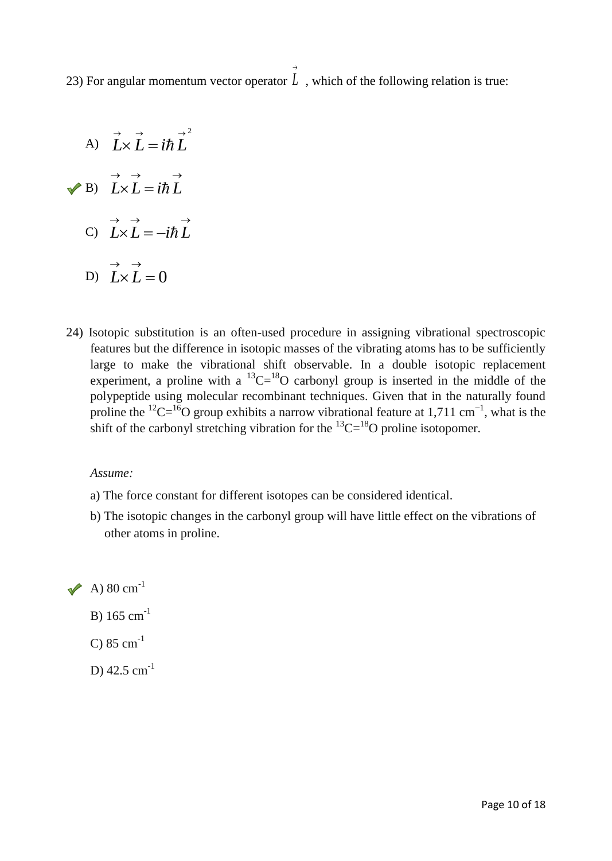23) For angular momentum vector operator *L* , which of the following relation is true:  $\rightarrow$ 

- A) B) C) D)  $L \times L = 0$  $\rightarrow$   $\rightarrow$ *LL*  $\rightarrow \quad \rightarrow \qquad \rightarrow$  $L \times L = -i\hbar L$  $\rightarrow \quad \rightarrow \quad \quad \rightarrow$  $L \times L = i \hbar L$  $\rightarrow$   $\rightarrow$   $\rightarrow$  2  $L \times L = i \hbar L$
- 24) Isotopic substitution is an often-used procedure in assigning vibrational spectroscopic features but the difference in isotopic masses of the vibrating atoms has to be sufficiently large to make the vibrational shift observable. In a double isotopic replacement experiment, a proline with a  ${}^{13}C = {}^{18}O$  carbonyl group is inserted in the middle of the polypeptide using molecular recombinant techniques. Given that in the naturally found proline the <sup>12</sup>C=<sup>16</sup>O group exhibits a narrow vibrational feature at 1,711 cm<sup>-1</sup>, what is the shift of the carbonyl stretching vibration for the  ${}^{13}C={}^{18}O$  proline isotopomer.

#### *Assume:*

- a) The force constant for different isotopes can be considered identical.
- b) The isotopic changes in the carbonyl group will have little effect on the vibrations of other atoms in proline.

 $\rightarrow$  A) 80 cm<sup>-1</sup>

- B) 165 cm-1
- C)  $85 \text{ cm}^{-1}$
- D)  $42.5$  cm<sup>-1</sup>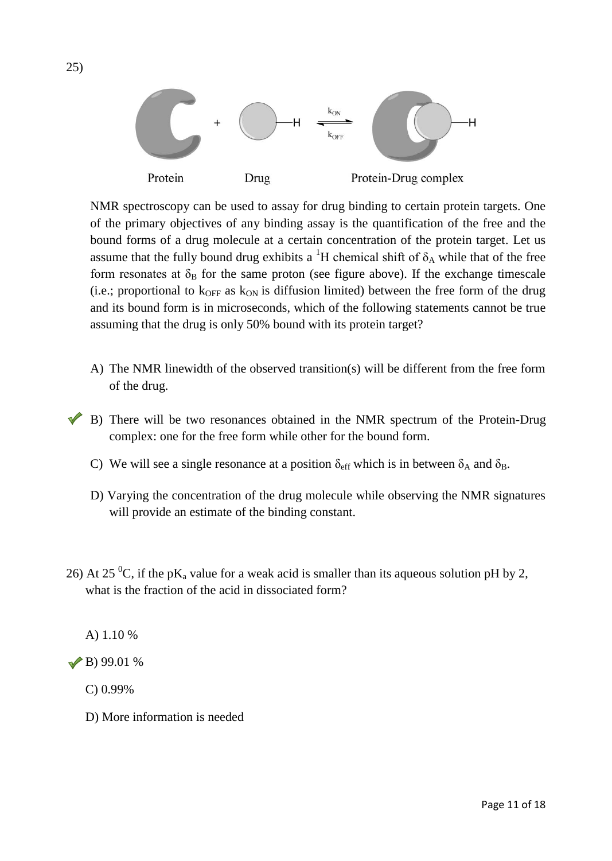

NMR spectroscopy can be used to assay for drug binding to certain protein targets. One of the primary objectives of any binding assay is the quantification of the free and the bound forms of a drug molecule at a certain concentration of the protein target. Let us assume that the fully bound drug exhibits a <sup>1</sup>H chemical shift of  $\delta_A$  while that of the free form resonates at  $\delta_B$  for the same proton (see figure above). If the exchange timescale (i.e.; proportional to  $k_{\text{OFF}}$  as  $k_{\text{ON}}$  is diffusion limited) between the free form of the drug and its bound form is in microseconds, which of the following statements cannot be true assuming that the drug is only 50% bound with its protein target?

- A) The NMR linewidth of the observed transition(s) will be different from the free form of the drug.
- B) There will be two resonances obtained in the NMR spectrum of the Protein-Drug complex: one for the free form while other for the bound form.
- C) We will see a single resonance at a position  $\delta_{\text{eff}}$  which is in between  $\delta_A$  and  $\delta_B$ .
- D) Varying the concentration of the drug molecule while observing the NMR signatures will provide an estimate of the binding constant.
- 26) At 25 <sup>0</sup>C, if the pK<sub>a</sub> value for a weak acid is smaller than its aqueous solution pH by 2, what is the fraction of the acid in dissociated form?

A) 1.10 %

 $\vee$  B) 99.01 %

- C) 0.99%
- D) More information is needed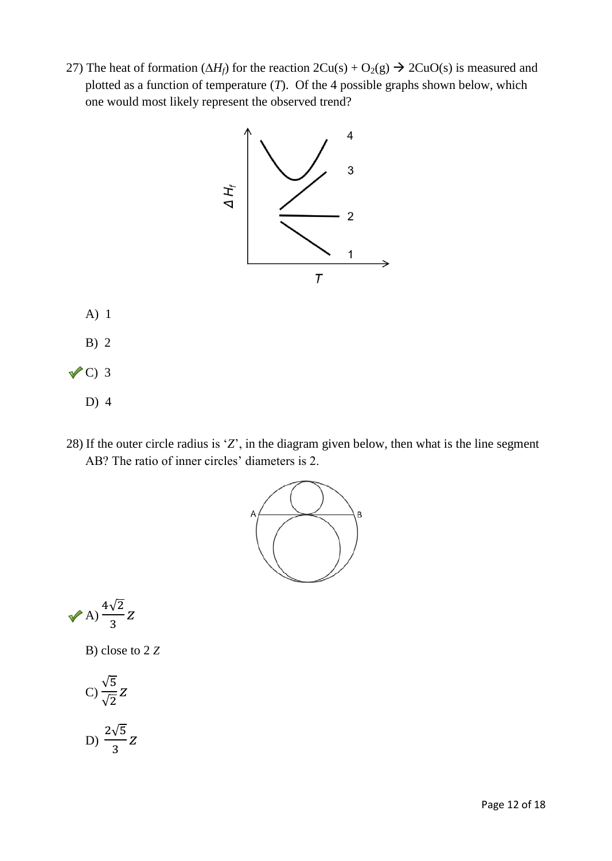27) The heat of formation  $(\Delta H_f)$  for the reaction  $2Cu(s) + O_2(g) \rightarrow 2CuO(s)$  is measured and plotted as a function of temperature (*T*). Of the 4 possible graphs shown below, which one would most likely represent the observed trend?



- A) 1
- B) 2
- $\sqrt{C}$ ) 3
	- D) 4
- 28) If the outer circle radius is '*Z*', in the diagram given below, then what is the line segment AB? The ratio of inner circles' diameters is 2.



$$
\sqrt{A} \big) \frac{4\sqrt{2}}{3} Z
$$

B) close to 2 *Z*

$$
C)\frac{\sqrt{5}}{\sqrt{2}}Z
$$

D) 
$$
\frac{2\sqrt{5}}{3}Z
$$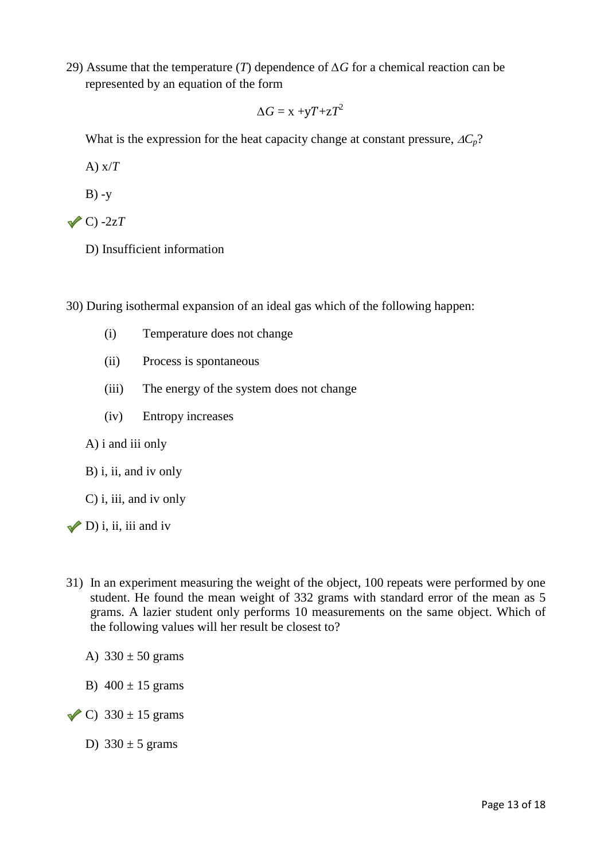29) Assume that the temperature (*T*) dependence of *∆G* for a chemical reaction can be represented by an equation of the form

$$
\Delta G = x + yT + zT^2
$$

What is the expression for the heat capacity change at constant pressure,  $\Delta C_p$ ?

A) x/*T*

 $B) -y$ 

- $\sqrt{C}$  -2z*T* 
	- D) Insufficient information

30) During isothermal expansion of an ideal gas which of the following happen:

- (i) Temperature does not change
- (ii) Process is spontaneous
- (iii) The energy of the system does not change
- (iv) Entropy increases

#### A) i and iii only

#### B) i, ii, and iv only

C) i, iii, and iv only

# $\nabla$  D) i, ii, iii and iv

- 31) In an experiment measuring the weight of the object, 100 repeats were performed by one student. He found the mean weight of 332 grams with standard error of the mean as 5 grams. A lazier student only performs 10 measurements on the same object. Which of the following values will her result be closest to?
	- A)  $330 \pm 50$  grams
	- B)  $400 \pm 15$  grams
- $\checkmark$  C) 330 ± 15 grams
	- D)  $330 \pm 5$  grams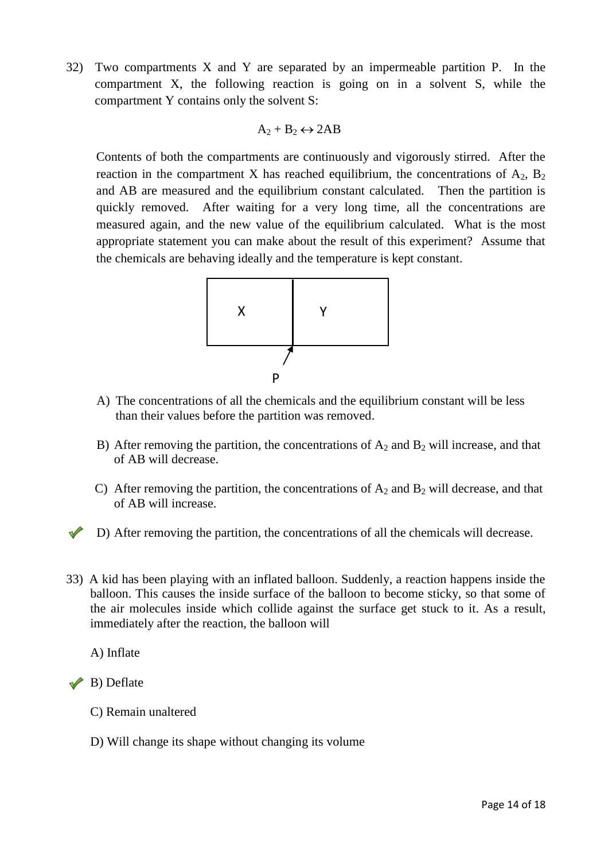32) Two compartments X and Y are separated by an impermeable partition P. In the compartment X, the following reaction is going on in a solvent S, while the compartment Y contains only the solvent S:

$$
A_2 + B_2 \leftrightarrow 2AB
$$

Contents of both the compartments are continuously and vigorously stirred. After the reaction in the compartment X has reached equilibrium, the concentrations of  $A_2$ ,  $B_2$ and AB are measured and the equilibrium constant calculated. Then the partition is quickly removed. After waiting for a very long time, all the concentrations are measured again, and the new value of the equilibrium calculated. What is the most appropriate statement you can make about the result of this experiment? Assume that the chemicals are behaving ideally and the temperature is kept constant.



- A) The concentrations of all the chemicals and the equilibrium constant will be less than their values before the partition was removed.
- B) After removing the partition, the concentrations of  $A_2$  and  $B_2$  will increase, and that of AB will decrease.
- C) After removing the partition, the concentrations of  $A_2$  and  $B_2$  will decrease, and that of AB will increase.
- D) After removing the partition, the concentrations of all the chemicals will decrease.
- 33) A kid has been playing with an inflated balloon. Suddenly, a reaction happens inside the balloon. This causes the inside surface of the balloon to become sticky, so that some of the air molecules inside which collide against the surface get stuck to it. As a result, immediately after the reaction, the balloon will

A) Inflate

 $\rightarrow$  B) Deflate

- C) Remain unaltered
- D) Will change its shape without changing its volume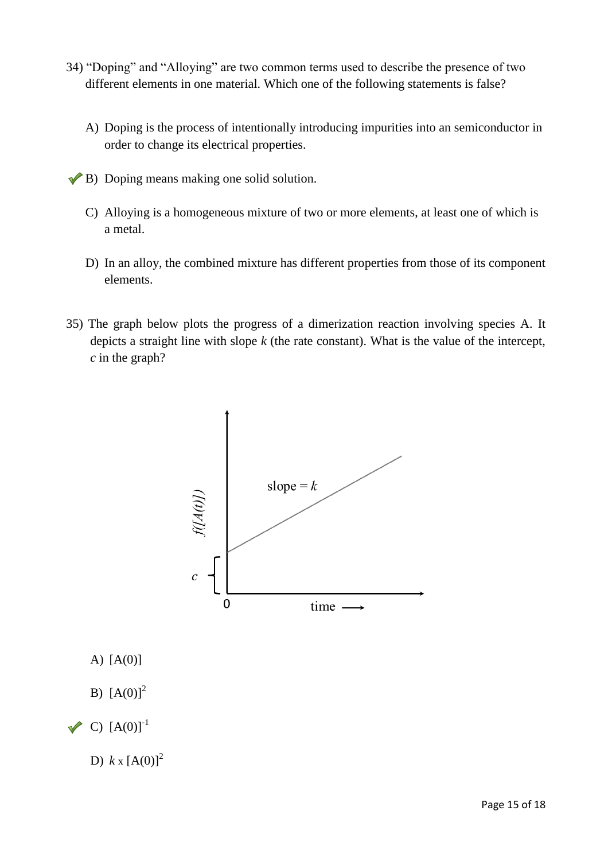- 34) "Doping" and "Alloying" are two common terms used to describe the presence of two different elements in one material. Which one of the following statements is false?
	- A) Doping is the process of intentionally introducing impurities into an semiconductor in order to change its electrical properties.
- $\blacktriangleright$  B) Doping means making one solid solution.
	- C) Alloying is a homogeneous mixture of two or more elements, at least one of which is a metal.
	- D) In an alloy, the combined mixture has different properties from those of its component elements.
- 35) The graph below plots the progress of a dimerization reaction involving species A. It depicts a straight line with slope *k* (the rate constant). What is the value of the intercept, *c* in the graph?



- A) [A(0)]
- B)  $[A(0)]^2$
- $\vee$  C)  $[A(0)]^{-1}$

D)  $k \times [A(0)]^2$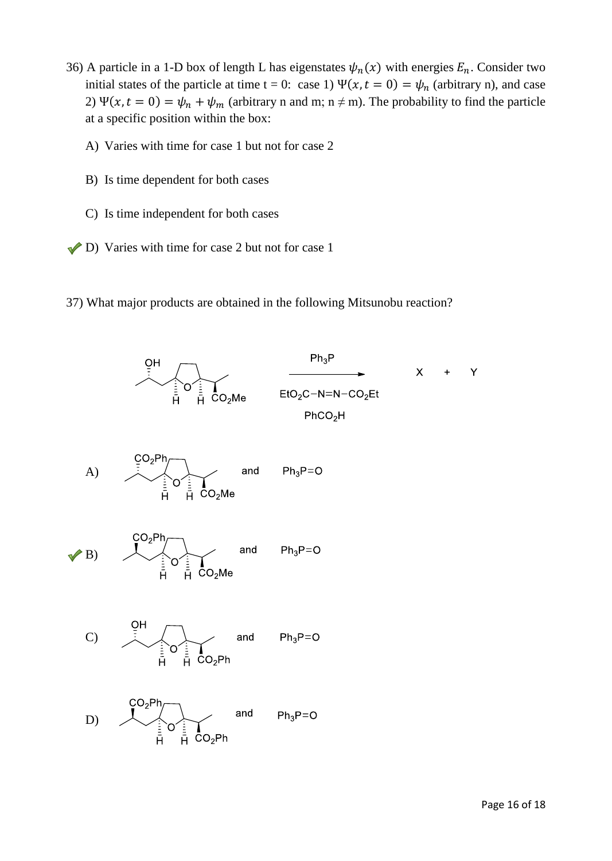- 36) A particle in a 1-D box of length L has eigenstates  $\psi_n(x)$  with energies  $E_n$ . Consider two initial states of the particle at time t = 0: case 1)  $\Psi(x, t = 0) = \psi_n$  (arbitrary n), and case 2)  $\Psi(x, t = 0) = \psi_n + \psi_m$  (arbitrary n and m; n  $\neq$  m). The probability to find the particle at a specific position within the box:
	- A) Varies with time for case 1 but not for case 2
	- B) Is time dependent for both cases
	- C) Is time independent for both cases
- D) Varies with time for case 2 but not for case 1
- 37) What major products are obtained in the following Mitsunobu reaction?





(B) 
$$
\frac{CO_2Ph}{\frac{1}{H} \cdot \frac{1}{H} \cdot CO_2Me}
$$
 and  $Ph_3P=O$ 

$$
C) \qquad \overbrace{\qquad \qquad \vdots \qquad \qquad}_{\overline{H}} \qquad \overbrace{\qquad \qquad}_{\overline{H}} \qquad \qquad \text{and} \qquad \qquad \text{Ph}_3 \text{P=O}
$$

D) 
$$
\overline{O_2Ph}
$$
  
\n $\overline{H}$   
\n $\overline{H}$   
\n $\overline{O_2Ph}$   
\nand  $Ph_3P=O$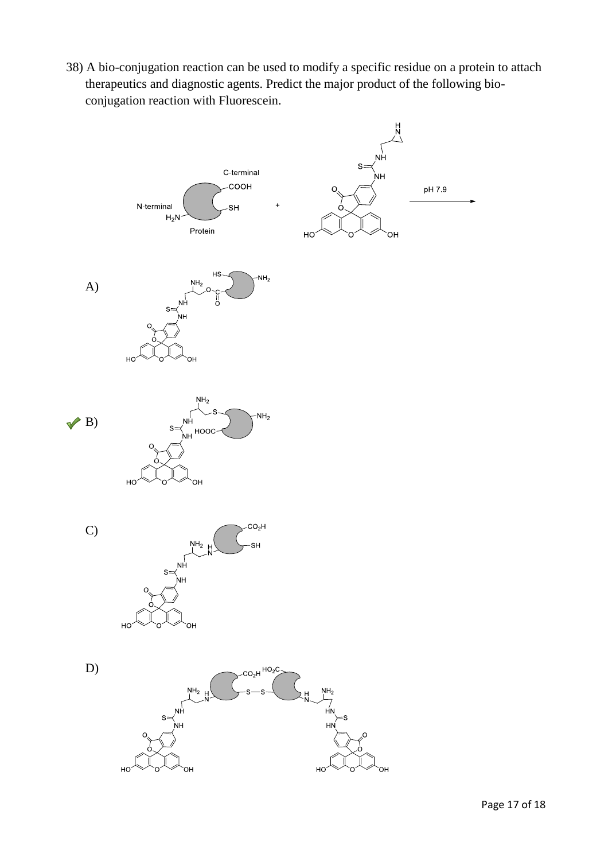38) A bio-conjugation reaction can be used to modify a specific residue on a protein to attach therapeutics and diagnostic agents. Predict the major product of the following bioconjugation reaction with Fluorescein.